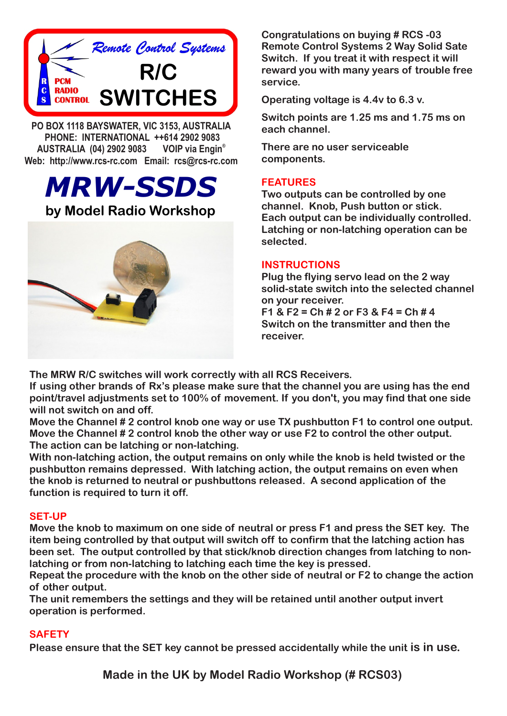

**PO BOX 1118 BAYSWATER, VIC 3153, AUSTRALIA PHONE: INTERNATIONAL ++614 2902 9083 VOIP** via Engin<sup>®</sup> **AUSTRALIA (04) 2902 9083 Web: http://www.rcs-rc.com Email: rcs@rcs-rc.com**

# *MRW-SSDS* **by Model Radio Workshop**



**Congratulations on buying # RCS -03 Remote Control Systems 2 Way Solid Sate Switch. If you treat it with respect it will reward you with many years of trouble free service.** 

**Operating voltage is 4.4v to 6.3 v.** 

**Switch points are 1.25 ms and 1.75 ms on each channel.**

**There are no user serviceable components.**

## **FEATURES**

**Two outputs can be controlled by one channel. Knob, Push button or stick. Each output can be individually controlled. Latching or non-latching operation can be selected.**

#### **INSTRUCTIONS**

**Plug the flying servo lead on the 2 way solid-state switch into the selected channel on your receiver.** 

**F1 & F2 = Ch # 2 or F3 & F4 = Ch # 4 Switch on the transmitter and then the receiver.**

**The MRW R/C switches will work correctly with all RCS Receivers.**

**If using other brands of Rx's please make sure that the channel you are using has the end point/travel adjustments set to 100% of movement. If you don't, you may find that one side will not switch on and off.**

**Move the Channel # 2 control knob one way or use TX pushbutton F1 to control one output. Move the Channel # 2 control knob the other way or use F2 to control the other output. The action can be latching or non-latching.**

**With non-latching action, the output remains on only while the knob is held twisted or the pushbutton remains depressed. With latching action, the output remains on even when the knob is returned to neutral or pushbuttons released. A second application of the function is required to turn it off.**

### **SET-UP**

**Move the knob to maximum on one side of neutral or press F1 and press the SET key. The item being controlled by that output will switch off to confirm that the latching action has been set. The output controlled by that stick/knob direction changes from latching to nonlatching or from non-latching to latching each time the key is pressed.**

**Repeat the procedure with the knob on the other side of neutral or F2 to change the action of other output.**

**The unit remembers the settings and they will be retained until another output invert operation is performed.**

## **SAFETY**

**Please ensure that the SET key cannot be pressed accidentally while the unit is in use.**

**Made in the UK by Model Radio Workshop (# RCS03)**